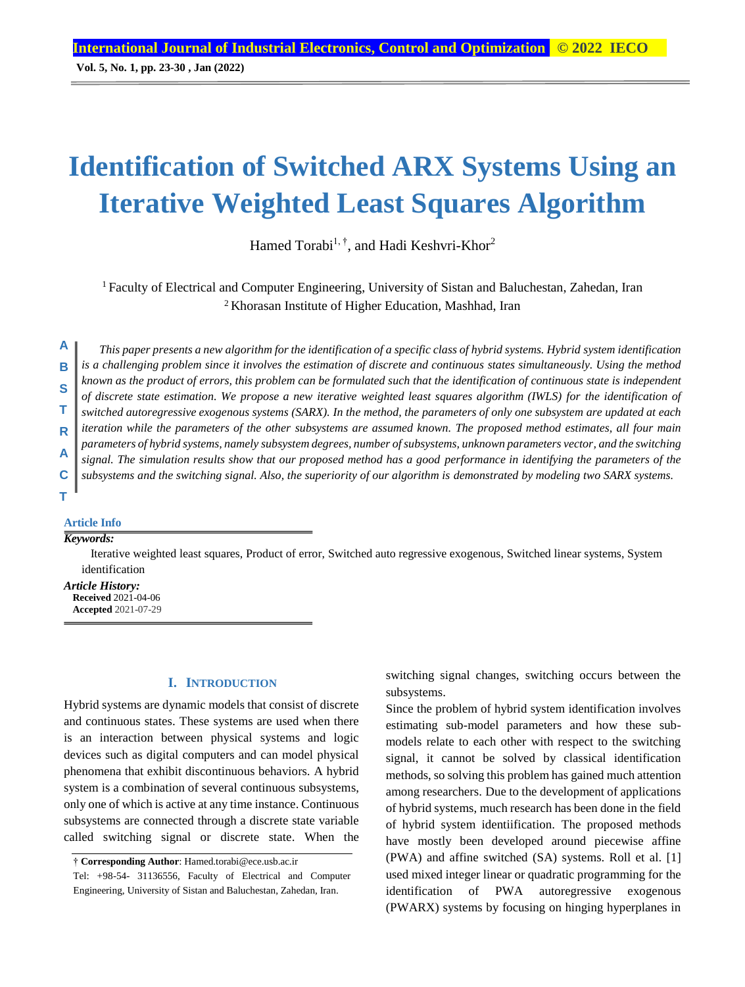# **Identification of Switched ARX Systems Using an Iterative Weighted Least Squares Algorithm**

Hamed Torabi<sup>1, †</sup>, and Hadi Keshvri-Khor<sup>2</sup>

<sup>1</sup> Faculty of Electrical and Computer Engineering, University of Sistan and Baluchestan, Zahedan, Iran <sup>2</sup>Khorasan Institute of Higher Education, Mashhad, Iran

*This paper presents a new algorithm for the identification of a specific class of hybrid systems. Hybrid system identification is a challenging problem since it involves the estimation of discrete and continuous states simultaneously. Using the method known as the product of errors, this problem can be formulated such that the identification of continuous state is independent of discrete state estimation. We propose a new iterative weighted least squares algorithm (IWLS) for the identification of switched autoregressive exogenous systems (SARX). In the method, the parameters of only one subsystem are updated at each iteration while the parameters of the other subsystems are assumed known. The proposed method estimates, all four main parameters of hybrid systems, namely subsystem degrees, number of subsystems, unknown parameters vector, and the switching signal. The simulation results show that our proposed method has a good performance in identifying the parameters of the subsystems and the switching signal. Also, the superiority of our algorithm is demonstrated by modeling two SARX systems.* **A B S T R A C**

#### **Article Info**

## *Keywords:*

**T**

Iterative weighted least squares, Product of error, Switched auto regressive exogenous, Switched linear systems, System identification

*Article History:* **Received** 2021-04-06 **Accepted** 2021-07-29

## **I. INTRODUCTION**

Hybrid systems are dynamic models that consist of discrete and continuous states. These systems are used when there is an interaction between physical systems and logic devices such as digital computers and can model physical phenomena that exhibit discontinuous behaviors. A hybrid system is a combination of several continuous subsystems, only one of which is active at any time instance. Continuous subsystems are connected through a discrete state variable called switching signal or discrete state. When the switching signal changes, switching occurs between the subsystems.

Since the problem of hybrid system identification involves estimating sub-model parameters and how these submodels relate to each other with respect to the switching signal, it cannot be solved by classical identification methods, so solving this problem has gained much attention among researchers. Due to the development of applications of hybrid systems, much research has been done in the field of hybrid system identiification. The proposed methods have mostly been developed around piecewise affine (PWA) and affine switched (SA) systems. Roll et al. [1] used mixed integer linear or quadratic programming for the identification of PWA autoregressive exogenous (PWARX) systems by focusing on hinging hyperplanes in

<sup>†</sup> **Corresponding Author**: Hamed.torabi@ece.usb.ac.ir

Tel: +98-54- 31136556, Faculty of Electrical and Computer Engineering, University of Sistan and Baluchestan, Zahedan, Iran.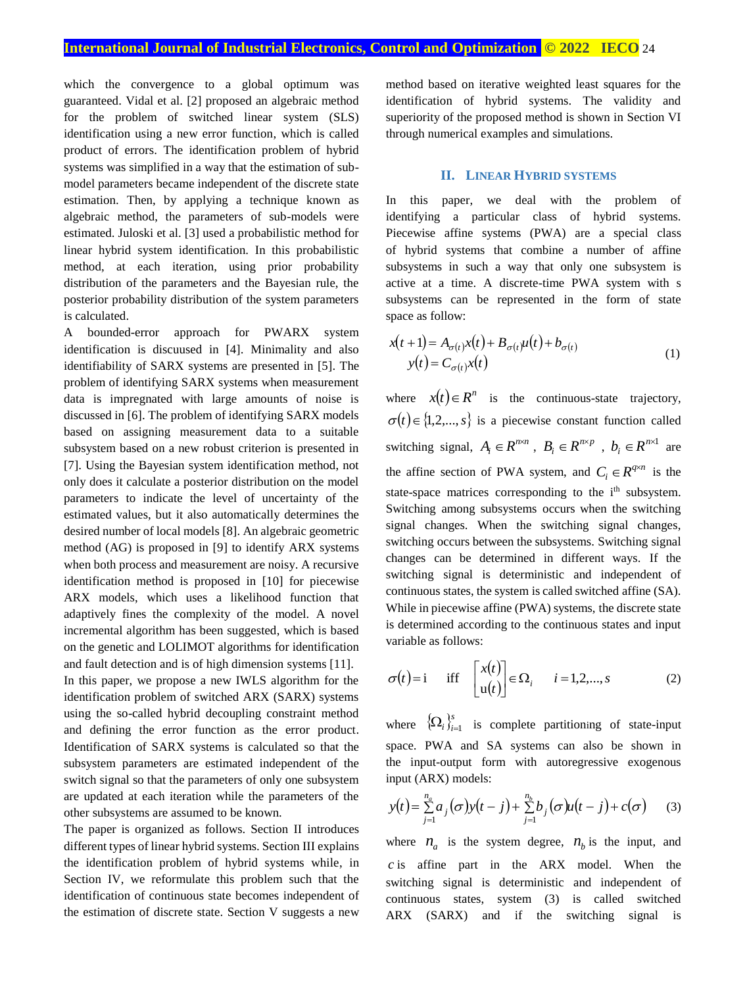which the convergence to a global optimum was guaranteed. Vidal et al. [2] proposed an algebraic method for the problem of switched linear system (SLS) identification using a new error function, which is called product of errors. The identification problem of hybrid systems was simplified in a way that the estimation of submodel parameters became independent of the discrete state estimation. Then, by applying a technique known as algebraic method, the parameters of sub-models were estimated. Juloski et al. [3] used a probabilistic method for linear hybrid system identification. In this probabilistic method, at each iteration, using prior probability distribution of the parameters and the Bayesian rule, the posterior probability distribution of the system parameters is calculated.

A bounded-error approach for PWARX system identification is discuused in [4]. Minimality and also identifiability of SARX systems are presented in [5]. The problem of identifying SARX systems when measurement data is impregnated with large amounts of noise is discussed in [6]. The problem of identifying SARX models based on assigning measurement data to a suitable subsystem based on a new robust criterion is presented in [7]. Using the Bayesian system identification method, not only does it calculate a posterior distribution on the model parameters to indicate the level of uncertainty of the estimated values, but it also automatically determines the desired number of local models [8]. An algebraic geometric method (AG) is proposed in [9] to identify ARX systems when both process and measurement are noisy. A recursive identification method is proposed in [10] for piecewise ARX models, which uses a likelihood function that adaptively fines the complexity of the model. A novel incremental algorithm has been suggested, which is based on the genetic and LOLIMOT algorithms for identification and fault detection and is of high dimension systems [11].

In this paper, we propose a new IWLS algorithm for the identification problem of switched ARX (SARX) systems using the so-called hybrid decoupling constraint method and defining the error function as the error product. Identification of SARX systems is calculated so that the subsystem parameters are estimated independent of the switch signal so that the parameters of only one subsystem are updated at each iteration while the parameters of the other subsystems are assumed to be known.

The paper is organized as follows. Section II introduces different types of linear hybrid systems. Section III explains the identification problem of hybrid systems while, in Section IV, we reformulate this problem such that the identification of continuous state becomes independent of the estimation of discrete state. Section V suggests a new

method based on iterative weighted least squares for the identification of hybrid systems. The validity and superiority of the proposed method is shown in Section VI through numerical examples and simulations.

#### **II. LINEAR HYBRID SYSTEMS**

In this paper, we deal with the problem of identifying a particular class of hybrid systems. Piecewise affine systems (PWA) are a special class of hybrid systems that combine a number of affine subsystems in such a way that only one subsystem is active at a time. A discrete-time PWA system with s subsystems can be represented in the form of state space as follow:

$$
x(t+1) = A_{\sigma(t)}x(t) + B_{\sigma(t)}\mu(t) + b_{\sigma(t)}
$$
  
\n
$$
y(t) = C_{\sigma(t)}x(t)
$$
\n(1)

where  $x(t) \in R^n$  is the continuous-state trajectory,  $\sigma(t) \in \{1,2,...,s\}$  is a piecewise constant function called switching signal,  $A_i \in R^{n \times n}$ ,  $B_i \in R^{n \times p}$ ,  $b_i \in R^{n \times 1}$  are the affine section of PWA system, and  $C_i \in R^{q \times n}$  is the state-space matrices corresponding to the i<sup>th</sup> subsystem. Switching among subsystems occurs when the switching signal changes. When the switching signal changes, switching occurs between the subsystems. Switching signal changes can be determined in different ways. If the switching signal is deterministic and independent of continuous states, the system is called switched affine (SA). While in piecewise affine (PWA) systems, the discrete state is determined according to the continuous states and input variable as follows:

$$
\sigma(t) = i \quad \text{iff} \quad \begin{bmatrix} x(t) \\ u(t) \end{bmatrix} \in \Omega_i \quad i = 1, 2, ..., s \quad (2)
$$

where  $\{\Omega_i\}_{i=1}^s$  is complete partitioning of state-input space. PWA and SA systems can also be shown in the input-output form with autoregressive exogenous input (ARX) models:

$$
y(t) = \sum_{j=1}^{n_a} a_j(\sigma) y(t-j) + \sum_{j=1}^{n_b} b_j(\sigma) u(t-j) + c(\sigma)
$$
 (3)

where  $n_a$  is the system degree,  $n_b$  is the input, and *c* is affine part in the ARX model. When the switching signal is deterministic and independent of continuous states, system (3) is called switched ARX (SARX) and if the switching signal is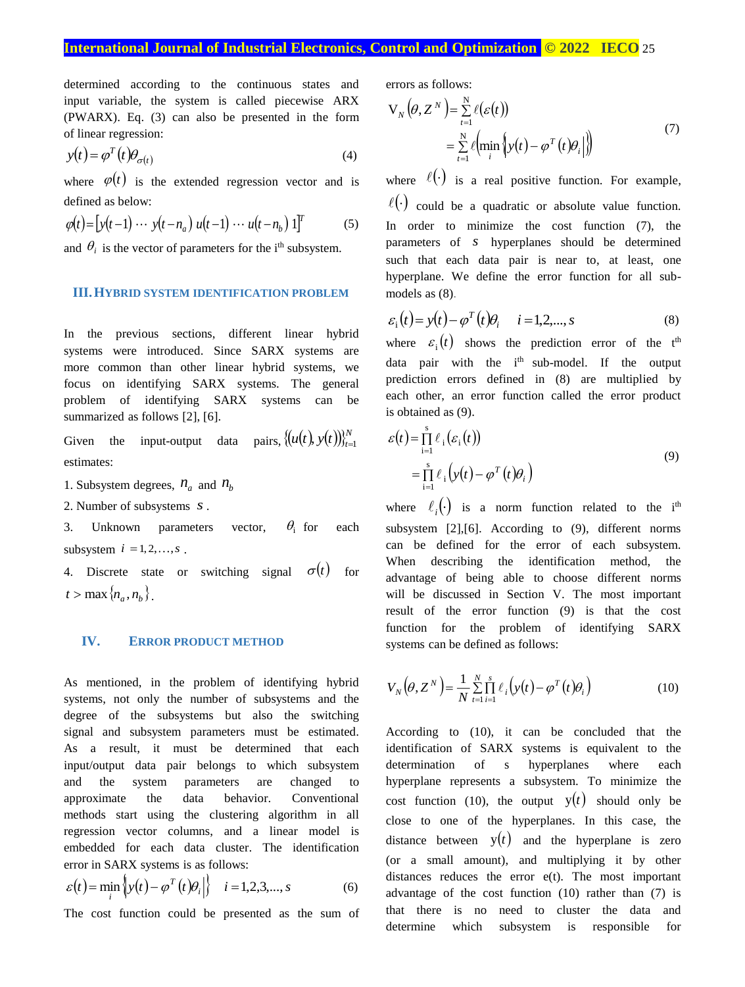# **International Journal of Industrial Electronics, Control and Optimization © 2022 IECO** 25

determined according to the continuous states and input variable, the system is called piecewise ARX (PWARX). Eq. (3) can also be presented in the form of linear regression:

$$
y(t) = \varphi^T(t)\theta_{\sigma(t)}
$$
\n(4)

where  $\varphi(t)$  is the extended regression vector and is defined as below:

$$
\varphi(t) = \left[ y(t-1) \cdots y(t-n_a) \ u(t-1) \cdots u(t-n_b) \ 1 \right]^T \tag{5}
$$

and  $\theta_i$  is the vector of parameters for the i<sup>th</sup> subsystem.

## **III.HYBRID SYSTEM IDENTIFICATION PROBLEM**

In the previous sections, different linear hybrid systems were introduced. Since SARX systems are more common than other linear hybrid systems, we focus on identifying SARX systems. The general problem of identifying SARX systems can be summarized as follows [2], [6].

Given the input-output data pairs,  $\{u(t), y(t)\}_{t=1}^{N}$  $u(t), y(t))$ <sub>t=1</sub> estimates:

1. Subsystem degrees,  $n_a$  and  $n_b$ 

2. Number of subsystems *s* .

3. Unknown parameters vector,  $\theta_i$  for each subsystem  $i = 1, 2, \ldots, s$ .

4. Discrete state or switching signal  $\sigma(t)$  for  $t > \max\{n_a, n_b\}.$ 

## **IV. ERROR PRODUCT METHOD**

As mentioned, in the problem of identifying hybrid systems, not only the number of subsystems and the degree of the subsystems but also the switching signal and subsystem parameters must be estimated. As a result, it must be determined that each input/output data pair belongs to which subsystem and the system parameters are changed to approximate the data behavior. Conventional methods start using the clustering algorithm in all regression vector columns, and a linear model is embedded for each data cluster. The identification error in SARX systems is as follows:

$$
\varepsilon(t) = \min_{i} \left\{ y(t) - \varphi^{T}(t)\theta_{i} \right\} \quad i = 1, 2, 3, \dots, s \tag{6}
$$

The cost function could be presented as the sum of

errors as follows:

$$
V_N(\theta, Z^N) = \sum_{t=1}^N \ell(\varepsilon(t))
$$
  
= 
$$
\sum_{t=1}^N \ell \Big(\min_i \Big\{ y(t) - \varphi^T(t) \theta_i \Big\} \Big)
$$
 (7)

where  $\ell(\cdot)$  is a real positive function. For example,

 $\ell(\cdot)$  could be a quadratic or absolute value function. In order to minimize the cost function (7), the parameters of *s* hyperplanes should be determined such that each data pair is near to, at least, one hyperplane. We define the error function for all submodels as (8).

$$
\varepsilon_i(t) = y(t) - \varphi^T(t)\theta_i \qquad i = 1, 2, ..., s \tag{8}
$$

where  $\varepsilon_i(t)$  shows the prediction error of the t<sup>th</sup> data pair with the i<sup>th</sup> sub-model. If the output prediction errors defined in (8) are multiplied by each other, an error function called the error product is obtained as (9).

$$
\varepsilon(t) = \prod_{i=1}^{s} \ell_i(\varepsilon_i(t))
$$
  
= 
$$
\prod_{i=1}^{s} \ell_i(y(t) - \varphi^{T}(t)\theta_i)
$$
 (9)

where  $\ell_i(\cdot)$  is a norm function related to the i<sup>th</sup> subsystem [2],[6]. According to (9), different norms can be defined for the error of each subsystem. When describing the identification method, the advantage of being able to choose different norms will be discussed in Section V. The most important result of the error function (9) is that the cost function for the problem of identifying SARX systems can be defined as follows:

$$
V_N(\theta, Z^N) = \frac{1}{N} \sum_{t=1}^N \prod_{i=1}^s \ell_i \left( y(t) - \varphi^T(t) \theta_i \right)
$$
(10)

According to (10), it can be concluded that the identification of SARX systems is equivalent to the determination of s hyperplanes where each hyperplane represents a subsystem. To minimize the cost function (10), the output  $y(t)$  should only be close to one of the hyperplanes. In this case, the distance between  $y(t)$  and the hyperplane is zero (or a small amount), and multiplying it by other distances reduces the error e(t). The most important advantage of the cost function (10) rather than (7) is that there is no need to cluster the data and determine which subsystem is responsible for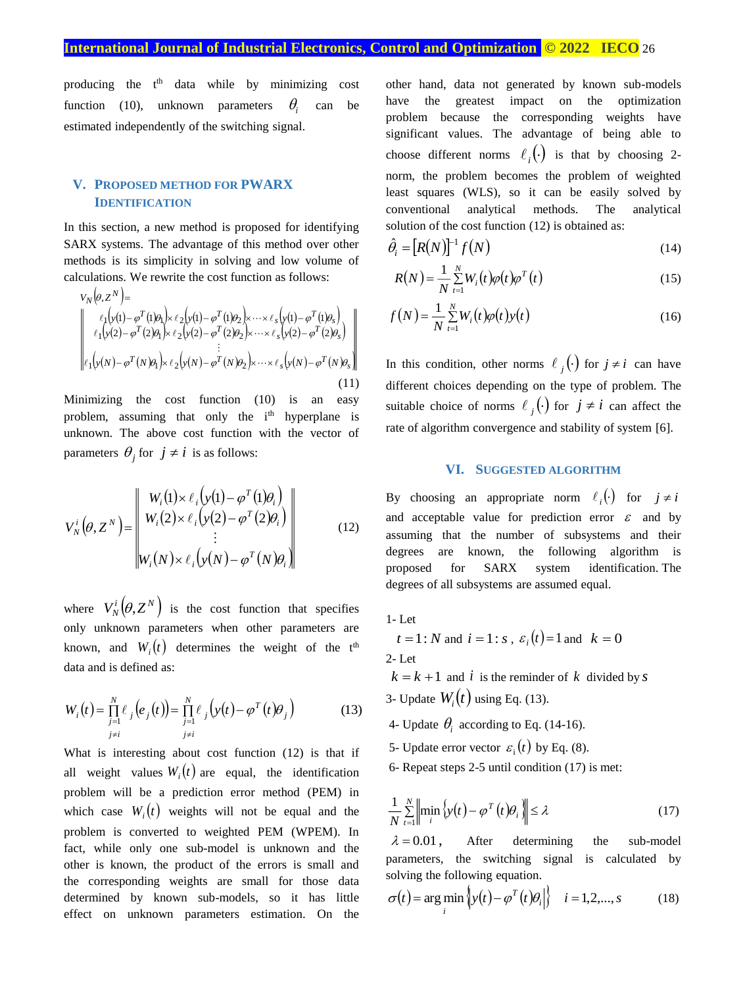# **International Journal of Industrial Electronics, Control and Optimization © 2022 IECO** 26

producing the t th data while by minimizing cost function (10), unknown parameters  $\theta_i$ can be estimated independently of the switching signal.

# **V. PROPOSED METHOD FOR PWARX IDENTIFICATION**

In this section, a new method is proposed for identifying SARX systems. The advantage of this method over other methods is its simplicity in solving and low volume of calculations. We rewrite the cost function as follows:

$$
V_N(\theta, Z^N) =
$$
\n
$$
\begin{bmatrix}\n\ell_1 \big( y(1) - \varphi^T(1) \theta_1 \big) & \ell_2 \big( y(1) - \varphi^T(1) \theta_2 \big) & \cdots & \ell_s \big( y(1) - \varphi^T(1) \theta_s \big) \\
\ell_1 \big( y(2) - \varphi^T(2) \theta_1 \big) & \ell_2 \big( y(2) - \varphi^T(2) \theta_2 \big) & \cdots & \ell_s \big( y(2) - \varphi^T(2) \theta_s \big) \\
\vdots & \vdots & \vdots \\
\ell_1 \big( y(N) - \varphi^T(N) \theta_1 \big) & \ell_2 \big( y(N) - \varphi^T(N) \theta_2 \big) & \cdots & \ell_s \big( y(N) - \varphi^T(N) \theta_s \big)\n\end{bmatrix}
$$
\n(11)

Minimizing the cost function (10) is an easy problem, assuming that only the i<sup>th</sup> hyperplane is unknown. The above cost function with the vector of parameters  $\theta_j$  for  $j \neq i$  is as follows:

$$
V_N^i(\theta, Z^N) = \begin{vmatrix} W_i(1) \times \ell_i \left( y(1) - \varphi^T(1)\theta_i \right) \\ W_i(2) \times \ell_i \left( y(2) - \varphi^T(2)\theta_i \right) \\ \vdots \\ W_i(N) \times \ell_i \left( y(N) - \varphi^T(N)\theta_i \right) \end{vmatrix}
$$
(12)

where  $V_N^i(\theta, Z^N)$  is the cost function that specifies only unknown parameters when other parameters are known, and  $W_i(t)$  determines the weight of the t<sup>th</sup> data and is defined as:

$$
W_i(t) = \prod_{\substack{j=1 \ j \neq i}}^N \ell_j(e_j(t)) = \prod_{\substack{j=1 \ j \neq i}}^N \ell_j(y(t) - \varphi^T(t)\theta_j)
$$
 (13)

What is interesting about cost function (12) is that if all weight values  $W_i(t)$  are equal, the identification problem will be a prediction error method (PEM) in which case  $W_i(t)$  weights will not be equal and the problem is converted to weighted PEM (WPEM). In fact, while only one sub-model is unknown and the other is known, the product of the errors is small and the corresponding weights are small for those data determined by known sub-models, so it has little effect on unknown parameters estimation. On the

other hand, data not generated by known sub-models have the greatest impact on the optimization problem because the corresponding weights have significant values. The advantage of being able to choose different norms  $\ell_i(\cdot)$  is that by choosing 2norm, the problem becomes the problem of weighted least squares (WLS), so it can be easily solved by conventional analytical methods. The analytical solution of the cost function (12) is obtained as:

$$
\hat{\theta}_i = [R(N)]^{-1} f(N) \tag{14}
$$

$$
R(N) = \frac{1}{N} \sum_{t=1}^{N} W_i(t) \varphi(t) \varphi^{T}(t)
$$
\n(15)

$$
f(N) = \frac{1}{N} \sum_{t=1}^{N} W_i(t) \varphi(t) y(t)
$$
 (16)

In this condition, other norms  $\ell_j(\cdot)$  for  $j \neq i$  can have different choices depending on the type of problem. The suitable choice of norms  $\ell_j(\cdot)$  for  $j \neq i$  can affect the rate of algorithm convergence and stability of system [6].

## **VI. SUGGESTED ALGORITHM**

By choosing an appropriate norm  $\ell_i(\cdot)$  for  $j \neq i$ and acceptable value for prediction error  $\varepsilon$  and by assuming that the number of subsystems and their degrees are known, the following algorithm is proposed for SARX system identification. The degrees of all subsystems are assumed equal.

- 1- Let
- $t = 1 : N$  and  $i = 1 : s$ ,  $\varepsilon_i(t) = 1$  and  $k = 0$ 2- Let

 $k = k + 1$  and *i* is the reminder of k divided by *s* 3- Update  $W_i(t)$  using Eq. (13).

- 4- Update  $\theta_i$  according to Eq. (14-16).
- 5- Update error vector  $\varepsilon_i(t)$  by Eq. (8).
- 6- Repeat steps 2-5 until condition (17) is met:

$$
\frac{1}{N} \sum_{t=1}^{N} \left\| \min_{i} \left\{ y(t) - \varphi^{T}(t) \theta_{i} \right\} \right\| \leq \lambda \tag{17}
$$

 $\lambda = 0.01$ , After determining the sub-model parameters, the switching signal is calculated by solving the following equation.

$$
\sigma(t) = \arg\min_{i} \left\{ y(t) - \varphi^{T}(t)\theta_{i} \right\} \quad i = 1, 2, ..., s \quad (18)
$$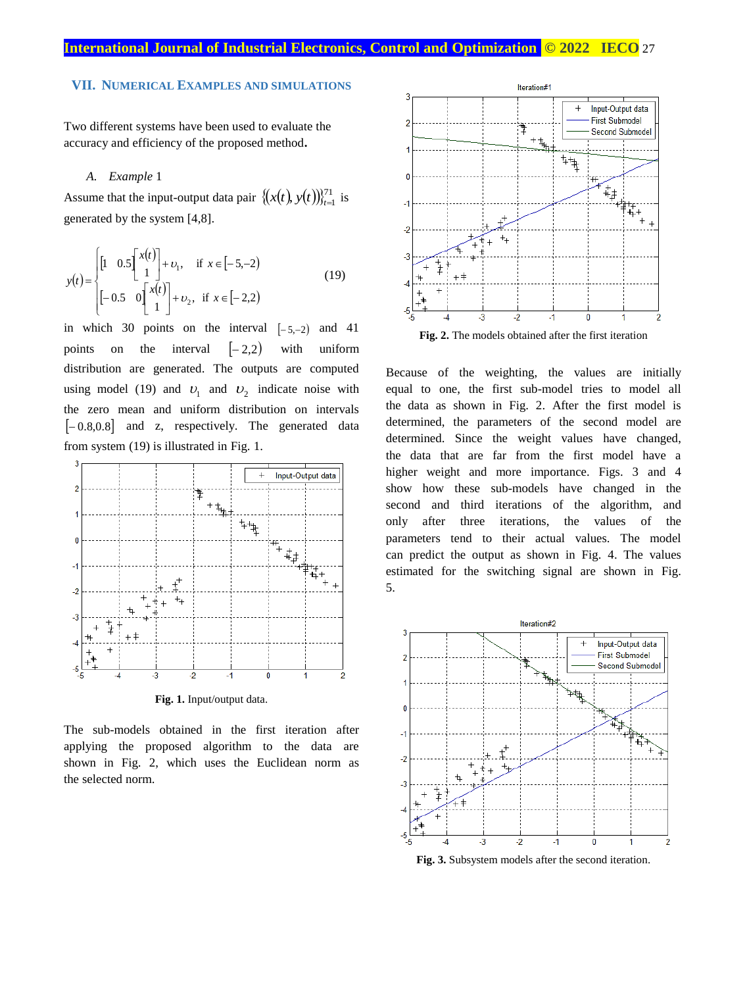## **VII. NUMERICAL EXAMPLES AND SIMULATIONS**

Two different systems have been used to evaluate the accuracy and efficiency of the proposed method**.**

#### *A. Example* 1

Assume that the input-output data pair  $\{(x(t), y(t))\}_{t=1}^{71}$  $[x(t), y(t)]_{t=1}^{t}$  is generated by the system [4,8].

$$
y(t) = \begin{cases} \begin{bmatrix} 1 & 0.5 \begin{bmatrix} x(t) \\ 1 \end{bmatrix} + v_1, & \text{if } x \in [-5, -2) \\ \begin{bmatrix} -0.5 & 0 \begin{bmatrix} x(t) \\ 1 \end{bmatrix} + v_2, & \text{if } x \in [-2, 2) \end{bmatrix} \end{cases}
$$
(19)

in which 30 points on the interval  $[-5,-2)$  and 41 points on the interval  $|-2,2)$ with uniform distribution are generated. The outputs are computed using model (19) and  $v_1$  and  $v_2$  indicate noise with the zero mean and uniform distribution on intervals  $[-0.8, 0.8]$  and z, respectively. The generated data from system (19) is illustrated in Fig. 1.



**Fig. 1.** Input/output data.

The sub-models obtained in the first iteration after applying the proposed algorithm to the data are shown in Fig. 2, which uses the Euclidean norm as the selected norm.



Because of the weighting, the values are initially equal to one, the first sub-model tries to model all the data as shown in Fig. 2. After the first model is determined, the parameters of the second model are determined. Since the weight values have changed, the data that are far from the first model have a higher weight and more importance. Figs. 3 and 4 show how these sub-models have changed in the second and third iterations of the algorithm, and only after three iterations, the values of the parameters tend to their actual values. The model can predict the output as shown in Fig. 4. The values estimated for the switching signal are shown in Fig. 5.



**Fig. 3.** Subsystem models after the second iteration.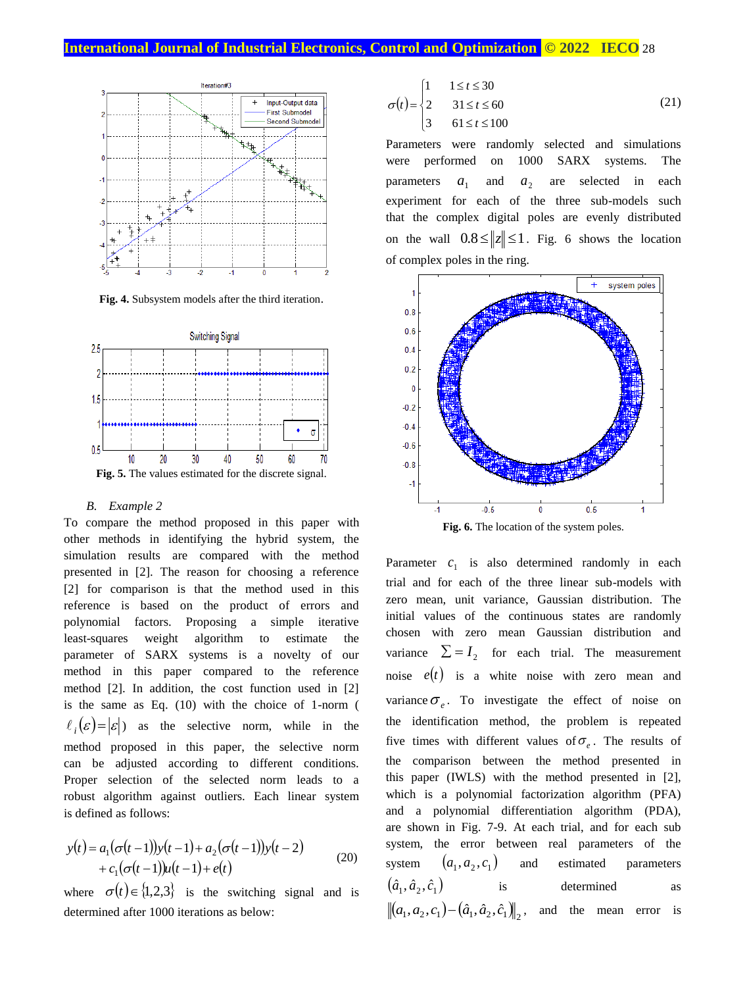## **International Journal of Industrial Electronics, Control and Optimization © 2022 IECO** 28



**Fig. 4.** Subsystem models after the third iteration.



#### *B. Example 2*

To compare the method proposed in this paper with other methods in identifying the hybrid system, the simulation results are compared with the method presented in [2]. The reason for choosing a reference [2] for comparison is that the method used in this reference is based on the product of errors and polynomial factors. Proposing a simple iterative least-squares weight algorithm to estimate the parameter of SARX systems is a novelty of our method in this paper compared to the reference method [2]. In addition, the cost function used in [2] is the same as Eq. (10) with the choice of 1-norm (  $\ell_i(\varepsilon) = |\varepsilon|$ ) as the selective norm, while in the method proposed in this paper, the selective norm can be adjusted according to different conditions. Proper selection of the selected norm leads to a robust algorithm against outliers. Each linear system is defined as follows:

$$
y(t) = a_1(\sigma(t-1))y(t-1) + a_2(\sigma(t-1))y(t-2)
$$
  
+  $c_1(\sigma(t-1))u(t-1) + e(t)$  (20)

where  $\sigma(t) \in \{1,2,3\}$  is the switching signal and is determined after 1000 iterations as below:

$$
\sigma(t) = \begin{cases} 1 & 1 \le t \le 30 \\ 2 & 31 \le t \le 60 \\ 3 & 61 \le t \le 100 \end{cases}
$$
 (21)

Parameters were randomly selected and simulations were performed on 1000 SARX systems. The parameters  $a_{1}$ and  $a<sub>2</sub>$ are selected in each experiment for each of the three sub-models such that the complex digital poles are evenly distributed on the wall  $0.8 \le ||z|| \le 1$ . Fig. 6 shows the location of complex poles in the ring.



**Fig. 6.** The location of the system poles.

Parameter  $c_1$  is also determined randomly in each trial and for each of the three linear sub-models with zero mean, unit variance, Gaussian distribution. The initial values of the continuous states are randomly chosen with zero mean Gaussian distribution and variance  $\Sigma = I_2$  for each trial. The measurement noise  $e(t)$  is a white noise with zero mean and variance  $\sigma_e$ . To investigate the effect of noise on the identification method, the problem is repeated five times with different values of  $\sigma_e$ . The results of the comparison between the method presented in this paper (IWLS) with the method presented in [2], which is a polynomial factorization algorithm (PFA) and a polynomial differentiation algorithm (PDA), are shown in Fig. 7-9. At each trial, and for each sub system, the error between real parameters of the system  $(a_1, a_2, c_1)$ and estimated parameters  $\left( \hat{a}_{1},\hat{a}_{2},\hat{c}_{1}\right)$ is determined as  $(a_1, a_2, c_1) - (\hat{a}_1, \hat{a}_2, \hat{c}_1)$ , and the mean error is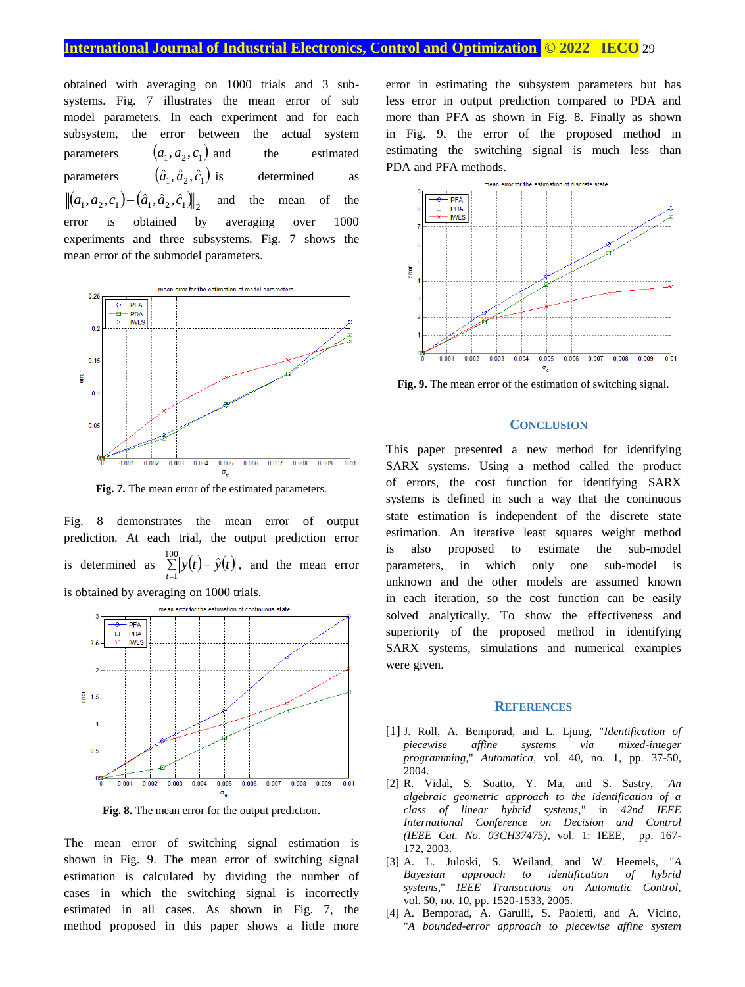## **International Journal of Industrial Electronics, Control and Optimization .© 2022 IECO** 29

obtained with averaging on 1000 trials and 3 subsystems. Fig. 7 illustrates the mean error of sub model parameters. In each experiment and for each subsystem, the error between the actual system parameters  $(a_1, a_2, c_1)$ the estimated parameters  $(\hat{a}_1, \hat{a}_2, \hat{c}_1)$ determined as  $(a_1, a_2, c_1) - (\hat{a}_1, \hat{a}_2, \hat{c}_1)$ and the mean of the error is obtained by averaging over 1000 experiments and three subsystems. Fig. 7 shows the mean error of the submodel parameters.



**Fig. 7.** The mean error of the estimated parameters.

Fig. 8 demonstrates the mean error of output prediction. At each trial, the output prediction error is determined as  $\sum_{r=1}^{100} |y(t) - \hat{y}(t)|$ 1  $\sum_{t=1}^{\infty} |y(t) - \hat{y}(t)|$ , and the mean error is obtained by averaging on 1000 trials.



**Fig. 8.** The mean error for the output prediction.

The mean error of switching signal estimation is shown in Fig. 9. The mean error of switching signal estimation is calculated by dividing the number of cases in which the switching signal is incorrectly estimated in all cases. As shown in Fig. 7, the method proposed in this paper shows a little more error in estimating the subsystem parameters but has less error in output prediction compared to PDA and more than PFA as shown in Fig. 8. Finally as shown in Fig. 9, the error of the proposed method in estimating the switching signal is much less than PDA and PFA methods.



**Fig. 9.** The mean error of the estimation of switching signal.

## **CONCLUSION**

This paper presented a new method for identifying SARX systems. Using a method called the product of errors, the cost function for identifying SARX systems is defined in such a way that the continuous state estimation is independent of the discrete state estimation. An iterative least squares weight method is also proposed to estimate the sub-model parameters, in which only one sub-model is unknown and the other models are assumed known in each iteration, so the cost function can be easily solved analytically. To show the effectiveness and superiority of the proposed method in identifying SARX systems, simulations and numerical examples were given.

#### **REFERENCES**

- [1] J. Roll, A. Bemporad, and L. Ljung, "*Identification of piecewise affine systems via mixed-integer programming,*" *Automatica,* vol. 40, no. 1, pp. 37-50, 2004.
- [2] R. Vidal, S. Soatto, Y. Ma, and S. Sastry, "*An algebraic geometric approach to the identification of a class of linear hybrid systems*," in *42nd IEEE International Conference on Decision and Control (IEEE Cat. No. 03CH37475)*, vol. 1: IEEE, pp. 167- 172, 2003.
- [3] A. L. Juloski, S. Weiland, and W. Heemels, "*A Bayesian approach to identification of hybrid systems,*" *IEEE Transactions on Automatic Control,*  vol. 50, no. 10, pp. 1520-1533, 2005.
- [4] A. Bemporad, A. Garulli, S. Paoletti, and A. Vicino, "*A bounded-error approach to piecewise affine system*